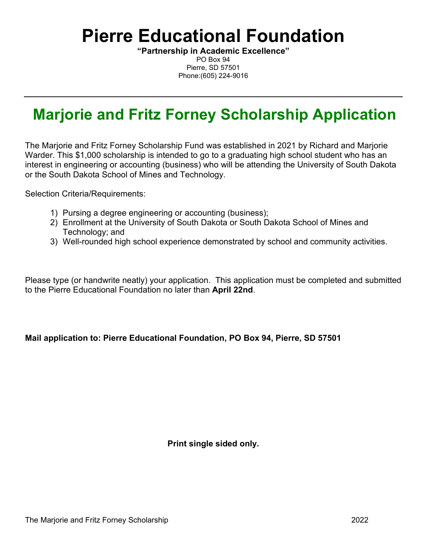# **Pierre Educational Foundation**

**"Partnership in Academic Excellence"** PO Box 94 Pierre, SD 57501 Phone:(605) 224-9016

## **Marjorie and Fritz Forney Scholarship Application**

The Marjorie and Fritz Forney Scholarship Fund was established in 2021 by Richard and Marjorie Warder. This \$1,000 scholarship is intended to go to a graduating high school student who has an interest in engineering or accounting (business) who will be attending the University of South Dakota or the South Dakota School of Mines and Technology.

Selection Criteria/Requirements:

- 1) Pursing a degree engineering or accounting (business);
- 2) Enrollment at the University of South Dakota or South Dakota School of Mines and Technology; and
- 3) Well-rounded high school experience demonstrated by school and community activities.

Please type (or handwrite neatly) your application. This application must be completed and submitted to the Pierre Educational Foundation no later than **April 22nd**.

#### **Mail application to: Pierre Educational Foundation, PO Box 94, Pierre, SD 57501**

**Print single sided only.**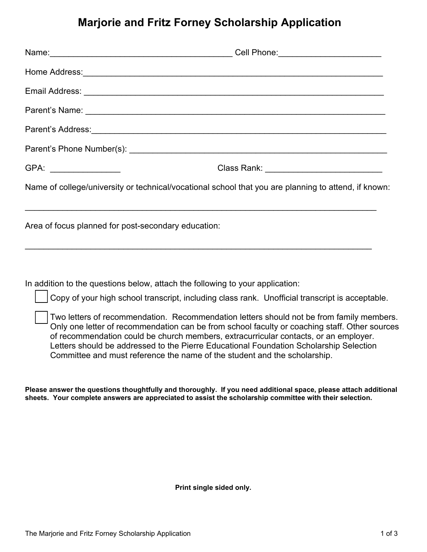### **Marjorie and Fritz Forney Scholarship Application**

|                                                     | Parent's Address: <u>Committee Committee and Committee Committee and Committee and Committee and Committee and Committee and Committee and Committee and Committee and Committee and Committee and Committee and Committee and C</u> |
|-----------------------------------------------------|--------------------------------------------------------------------------------------------------------------------------------------------------------------------------------------------------------------------------------------|
|                                                     |                                                                                                                                                                                                                                      |
| GPA: _________________                              | Class Rank: ______________________________                                                                                                                                                                                           |
|                                                     | Name of college/university or technical/vocational school that you are planning to attend, if known:                                                                                                                                 |
| Area of focus planned for post-secondary education: |                                                                                                                                                                                                                                      |
|                                                     |                                                                                                                                                                                                                                      |

In addition to the questions below, attach the following to your application:

Copy of your high school transcript, including class rank. Unofficial transcript is acceptable.

Two letters of recommendation. Recommendation letters should not be from family members. Only one letter of recommendation can be from school faculty or coaching staff. Other sources of recommendation could be church members, extracurricular contacts, or an employer. Letters should be addressed to the Pierre Educational Foundation Scholarship Selection Committee and must reference the name of the student and the scholarship.

**Please answer the questions thoughtfully and thoroughly. If you need additional space, please attach additional sheets. Your complete answers are appreciated to assist the scholarship committee with their selection.** 

**Print single sided only.**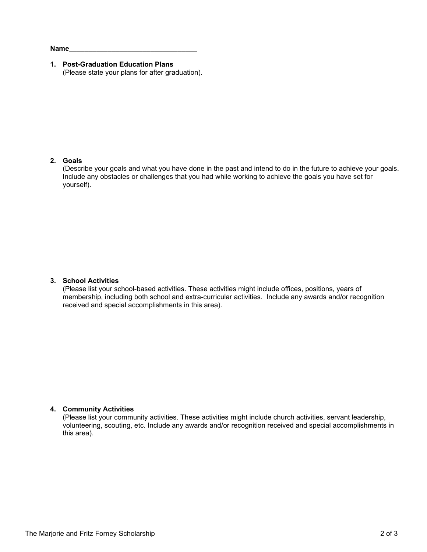**Name\_\_\_\_\_\_\_\_\_\_\_\_\_\_\_\_\_\_\_\_\_\_\_\_\_\_\_\_\_\_\_\_\_**

**1. Post-Graduation Education Plans** (Please state your plans for after graduation).

#### **2. Goals**

(Describe your goals and what you have done in the past and intend to do in the future to achieve your goals. Include any obstacles or challenges that you had while working to achieve the goals you have set for yourself).

#### **3. School Activities**

(Please list your school-based activities. These activities might include offices, positions, years of membership, including both school and extra-curricular activities. Include any awards and/or recognition received and special accomplishments in this area).

#### **4. Community Activities**

(Please list your community activities. These activities might include church activities, servant leadership, volunteering, scouting, etc. Include any awards and/or recognition received and special accomplishments in this area).